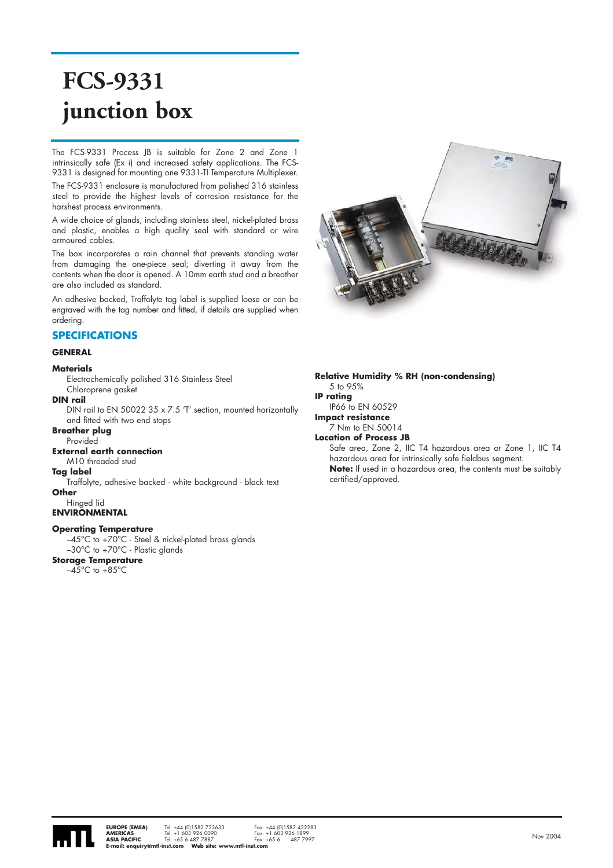# **FCS-9331 junction box**

The FCS-9331 Process JB is suitable for Zone 2 and Zone 1 intrinsically safe (Ex i) and increased safety applications. The FCS-9331 is designed for mounting one 9331-TI Temperature Multiplexer.

The FCS-9331 enclosure is manufactured from polished 316 stainless steel to provide the highest levels of corrosion resistance for the harshest process environments.

A wide choice of glands, including stainless steel, nickel-plated brass and plastic, enables a high quality seal with standard or wire armoured cables.

The box incorporates a rain channel that prevents standing water from damaging the one-piece seal; diverting it away from the contents when the door is opened. A 10mm earth stud and a breather are also included as standard.

An adhesive backed, Traffolyte tag label is supplied loose or can be engraved with the tag number and fitted, if details are supplied when ordering.

## **SPECIFICATIONS**

#### **GENERAL**

#### **Materials**

Electrochemically polished 316 Stainless Steel Chloroprene gasket

#### **DIN rail**

DIN rail to EN 50022 35 x 7.5 'T' section, mounted horizontally and fitted with two end stops

#### **Breather plug**

Provided

## **External earth connection**

M10 threaded stud

## **Tag label**

Traffolyte, adhesive backed - white background - black text **Other**

#### Hinged lid

**ENVIRONMENTAL** 

#### **Operating Temperature**

–45°C to +70°C - Steel & nickel-plated brass glands

–30°C to +70°C - Plastic glands

## **Storage Temperature**

 $-45^{\circ}$ C to  $+85^{\circ}$ C



**Relative Humidity % RH (non-condensing)** 5 to 95% **IP rating**  IP66 to EN 60529 **Impact resistance** 7 Nm to EN 50014 **Location of Process JB** Safe area, Zone 2, IIC T4 hazardous area or Zone 1, IIC T4 hazardous area for intrinsically safe fieldbus segment. **Note:** If used in a hazardous area, the contents must be suitably certified/approved.